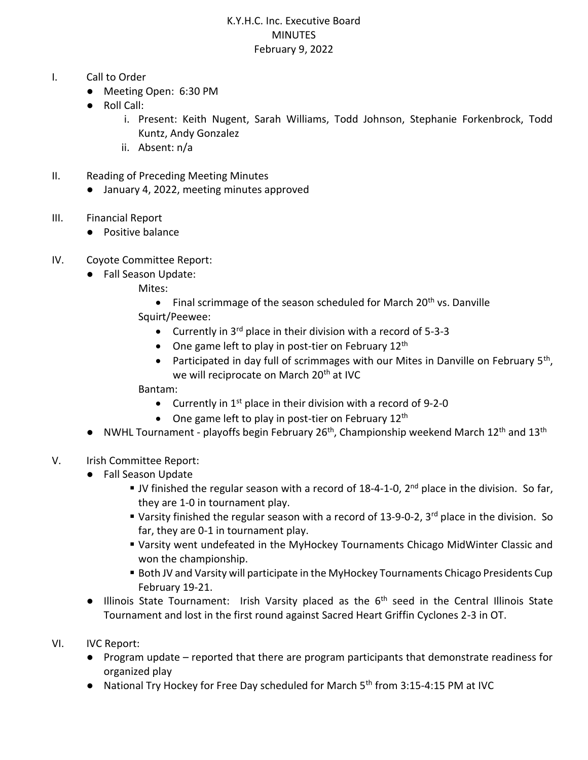## K.Y.H.C. Inc. Executive Board **MINUTES** February 9, 2022

- I. Call to Order
	- Meeting Open: 6:30 PM
	- Roll Call:
		- i. Present: Keith Nugent, Sarah Williams, Todd Johnson, Stephanie Forkenbrock, Todd Kuntz, Andy Gonzalez
		- ii. Absent: n/a
- II. Reading of Preceding Meeting Minutes
	- January 4, 2022, meeting minutes approved
- III. Financial Report
	- Positive balance
- IV. Coyote Committee Report:
	- Fall Season Update:
		- Mites:
			- Final scrimmage of the season scheduled for March  $20<sup>th</sup>$  vs. Danville
		- Squirt/Peewee:
			- Currently in  $3^{rd}$  place in their division with a record of 5-3-3
			- One game left to play in post-tier on February  $12<sup>th</sup>$
			- Participated in day full of scrimmages with our Mites in Danville on February  $5<sup>th</sup>$ , we will reciprocate on March 20<sup>th</sup> at IVC

Bantam:

- Currently in  $1<sup>st</sup>$  place in their division with a record of 9-2-0
- One game left to play in post-tier on February 12<sup>th</sup>
- $\bullet$  NWHL Tournament playoffs begin February 26<sup>th</sup>, Championship weekend March 12<sup>th</sup> and 13<sup>th</sup>
- V. Irish Committee Report:
	- Fall Season Update
		- **JV** finished the regular season with a record of 18-4-1-0,  $2^{nd}$  place in the division. So far, they are 1-0 in tournament play.
		- Varsity finished the regular season with a record of 13-9-0-2, 3<sup>rd</sup> place in the division. So far, they are 0-1 in tournament play.
		- Varsity went undefeated in the MyHockey Tournaments Chicago MidWinter Classic and won the championship.
		- Both JV and Varsity will participate in the MyHockey Tournaments Chicago Presidents Cup February 19-21.
	- Illinois State Tournament: Irish Varsity placed as the 6<sup>th</sup> seed in the Central Illinois State Tournament and lost in the first round against Sacred Heart Griffin Cyclones 2-3 in OT.
- VI. IVC Report:
	- Program update reported that there are program participants that demonstrate readiness for organized play
	- National Try Hockey for Free Day scheduled for March 5<sup>th</sup> from 3:15-4:15 PM at IVC